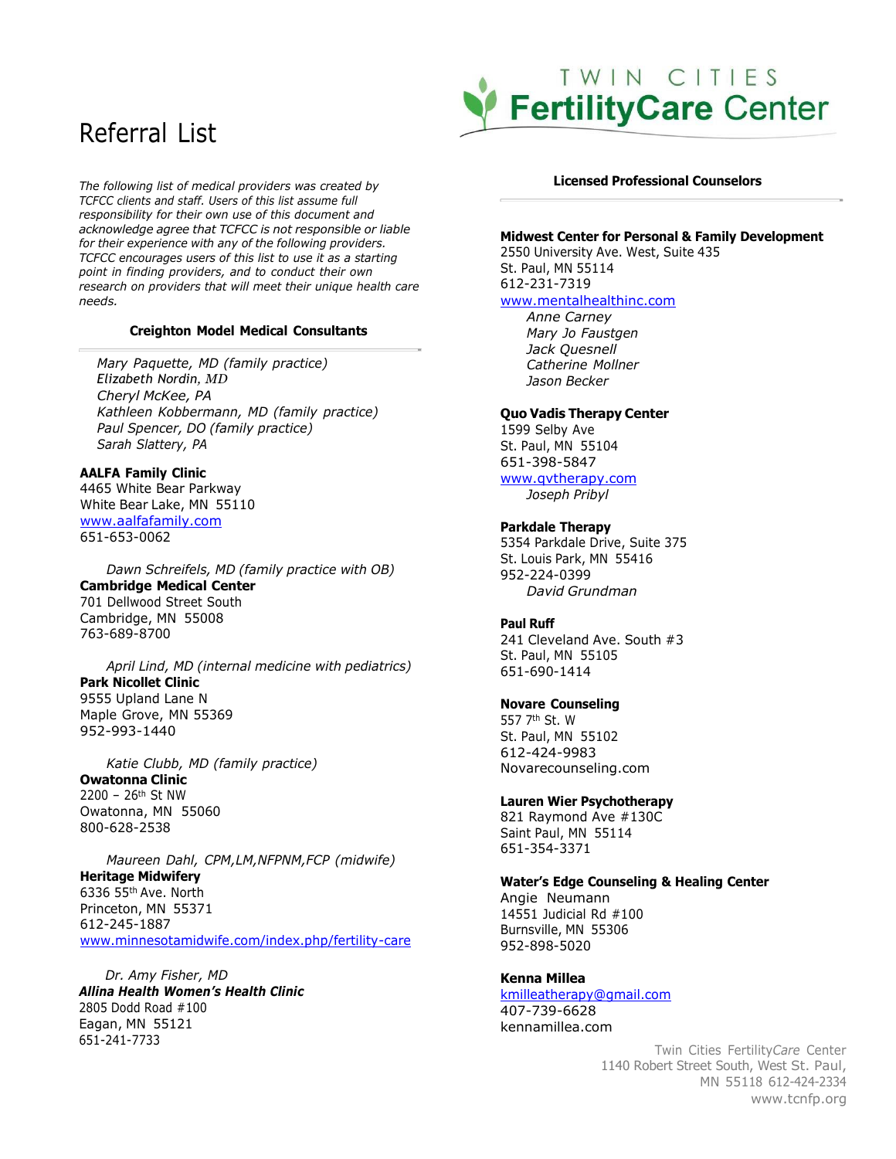# Referral List

*The following list of medical providers was created by TCFCC clients and staff. Users of this list assume full responsibility for their own use of this document and acknowledge agree that TCFCC is not responsible or liable for their experience with any of the following providers. TCFCC encourages users of this list to use it as a starting point in finding providers, and to conduct their own research on providers that will meet their unique health care needs.*

#### **Creighton Model Medical Consultants**

*Mary Paquette, MD (family practice) Elizabeth Nordin, MD Cheryl McKee, PA Kathleen Kobbermann, MD (family practice) Paul Spencer, DO (family practice) Sarah Slattery, PA*

#### **AALFA Family Clinic** 4465 White Bear Parkway

[White](http://www.aalfafamily.com/) Bear Lake, MN 55110 [www.aalfafamily.com](http://www.aalfafamily.com/) 651-653-0062

*Dawn Schreifels, MD (family practice with OB)* **Cambridge Medical Center** 701 Dellwood Street South Cambridge, MN 55008 763-689-8700

*April Lind, MD (internal medicine with pediatrics)* **Park Nicollet Clinic** 9555 Upland Lane N Maple Grove, MN 55369 952-993-1440

*Katie Clubb, MD (family practice)*

**Owatonna Clinic** 2200 – 26th St NW Owatonna, MN 55060 800-628-2538

*Maureen Dahl, CPM,LM,NFPNM,FCP (midwife)* **Heritage Midwifery** 6336 55th Ave. North Princeton, MN 55371 [612-245-1887](http://www.minnesotamidwife.com/index.php/fertility-care) [www.minnesotamidwife.com/index.php/fertility-care](http://www.minnesotamidwife.com/index.php/fertility-care)

651-241-7733 Twin Cities Fertility*Care* Center *Dr. Amy Fisher, MD Allina Health Women's Health Clinic* 2805 Dodd Road #100 Eagan, MN 55121

# TWIN CITIES **FertilityCare Center**

#### **Licensed Professional Counselors**

#### **Midwest Center for Personal & Family Development**

2550 University Ave. West, Suite 435 St. Paul, MN 55114 612-231-7319 [www.mentalhealthinc.com](http://www.mentalhealthinc.com/)

*Anne Carney Mary Jo Faustgen Jack Quesnell Catherine Mollner Jason Becker*

#### **Quo Vadis Therapy Center**

1599 Selby Ave St. Paul, MN 55104 651-398-5847 [www.qvtherapy.com](http://www.qvtherapy.com/) *Joseph Pribyl*

# **Parkdale Therapy**

5354 Parkdale Drive, Suite 375 St. Louis Park, MN 55416 952-224-0399 *David Grundman*

### **Paul Ruff**

241 Cleveland Ave. South #3 St. Paul, MN 55105 651-690-1414

#### **Novare Counseling**

557 7th St. W St. Paul, MN 55102 612-424-9983 Novarecounseling.com

#### **Lauren Wier Psychotherapy**

821 Raymond Ave #130C Saint Paul, MN 55114 651-354-3371

# **Water's Edge Counseling & Healing Center**

Angie Neumann 14551 Judicial Rd #100 Burnsville, MN 55306 952-898-5020

# **Kenna Millea**

[kmilleatherapy@gmail.com](mailto:kmilleatherapy@gmail.com) 407-739-6628 kennamillea.com

> 1140 Robert Street South, West St. Paul, MN 55118 612-424-2334 [www.tcnfp.org](http://www.tcnfp.org/)